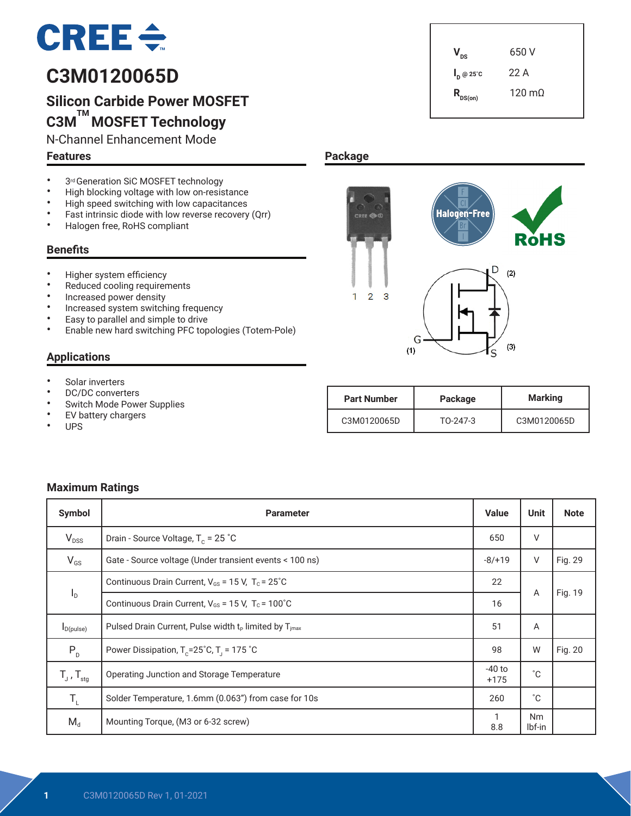# $CRE \div$

# **C3M0120065D**

# **Silicon Carbide Power MOSFET C3M TM MOSFET Technology**

N-Channel Enhancement Mode

#### **Features**

- 3<sup>rd</sup> Generation SiC MOSFET technology<br>• High blocking voltage with low on-resis
- High blocking voltage with low on-resistance<br>• High speed switching with low canacitances
- High speed switching with low capacitances<br>• Fact intrinsic diade with low reverse resevent
- Fast intrinsic diode with low reverse recovery (Qrr)<br>• Halogen free BoHS compliant
- Halogen free, RoHS compliant

#### **Benefits**

- Higher system efficiency
- Reduced cooling requirements
- Increased power density
- Increased system switching frequency
- Easy to parallel and simple to drive
- Enable new hard switching PFC topologies (Totem-Pole)

#### **Applications**

- Solar inverters<br>• DC/DC convert
- DC/DC converters
- Switch Mode Power Supplies<br>• FV battery chargers
- EV battery chargers
- UPS



 $V_{\text{ns}}$  650 V

**I <sup>D</sup> @ 25˚C** 22 A

### **Package**



| <b>Part Number</b> | Package  | <b>Marking</b> |
|--------------------|----------|----------------|
| C3M0120065D        | TO-247-3 | C3M0120065D    |

#### **Maximum Ratings**

| Symbol                     | <b>Parameter</b>                                                     | <b>Value</b> | <b>Unit</b>         | <b>Note</b> |
|----------------------------|----------------------------------------------------------------------|--------------|---------------------|-------------|
| $V_{DSS}$                  | Drain - Source Voltage, $T_c = 25$ °C                                | 650          | V                   |             |
| $V_{GS}$                   | Gate - Source voltage (Under transient events < 100 ns)              | $-8/+19$     | V                   | Fig. 29     |
|                            | Continuous Drain Current, $V_{GS} = 15$ V, $T_c = 25^{\circ}$ C      |              |                     |             |
| $I_D$                      | Continuous Drain Current, $V_{GS}$ = 15 V, T <sub>c</sub> = 100°C    | 16           | Α                   | Fig. 19     |
| $I_{D(pulse)}$             | Pulsed Drain Current, Pulse width $t_P$ limited by $T_{\text{imax}}$ | 51           | A                   |             |
| $P_{D}$                    | Power Dissipation, $T_c = 25^\circ C$ , $T_1 = 175^\circ C$          | 98           | W                   | Fig. 20     |
| $T_{J}$ , $T_{\text{stg}}$ | Operating Junction and Storage Temperature                           |              | °С                  |             |
| $T_{\rm L}$                | Solder Temperature, 1.6mm (0.063") from case for 10s                 | 260          | °C.                 |             |
| $M_d$                      | Mounting Torque, (M3 or 6-32 screw)                                  | 1<br>8.8     | <b>Nm</b><br>lbf-in |             |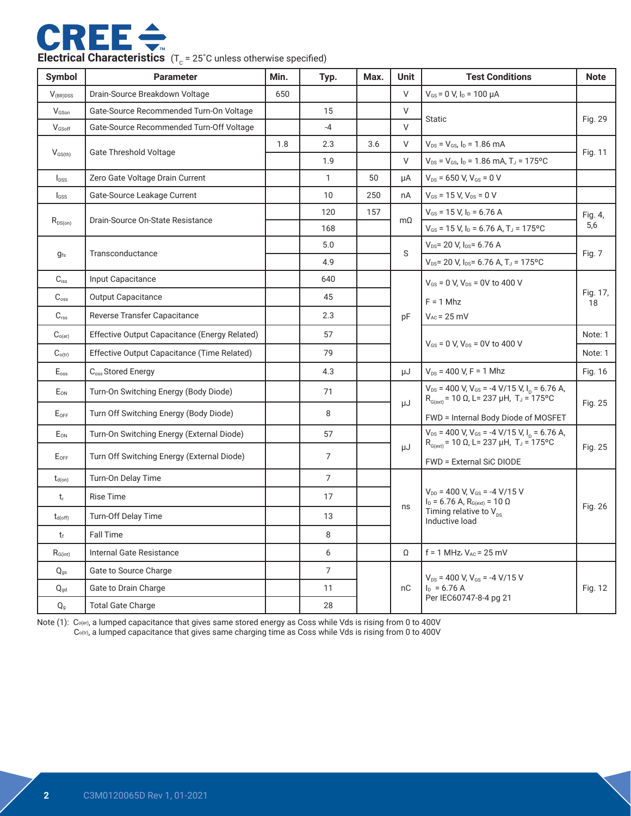

|  | <b>Electrical Characteristics</b> $(T_c = 25^{\circ}C)$ unless otherwise specified) |
|--|-------------------------------------------------------------------------------------|
|--|-------------------------------------------------------------------------------------|

| <b>Symbol</b>             | <b>Parameter</b>                                | Min.           | Typ.                                                                                                                              | Max.                   | Unit                                                                    | <b>Test Conditions</b>                                                                    | <b>Note</b>    |  |
|---------------------------|-------------------------------------------------|----------------|-----------------------------------------------------------------------------------------------------------------------------------|------------------------|-------------------------------------------------------------------------|-------------------------------------------------------------------------------------------|----------------|--|
| $V_{(BR)DSS}$             | Drain-Source Breakdown Voltage                  | 650            |                                                                                                                                   |                        | V                                                                       | $V_{GS}$ = 0 V, $I_D$ = 100 $\mu$ A                                                       |                |  |
| VGSon                     | Gate-Source Recommended Turn-On Voltage         |                | 15                                                                                                                                |                        | V                                                                       | <b>Static</b>                                                                             |                |  |
| V <sub>GSoff</sub>        | Gate-Source Recommended Turn-Off Voltage        |                | $-4$                                                                                                                              |                        | V                                                                       |                                                                                           | Fig. 29        |  |
|                           | <b>Gate Threshold Voltage</b>                   | 1.8            | 2.3                                                                                                                               | 3.6                    | V                                                                       | $V_{DS} = V_{GS} I_D = 1.86 \text{ mA}$                                                   |                |  |
| $V_{GS(th)}$              |                                                 |                | 1.9                                                                                                                               |                        | V                                                                       | $V_{DS}$ = $V_{GS}$ , $I_D$ = 1.86 mA, T <sub>J</sub> = 175°C                             | Fig. 11        |  |
| $I_{DSS}$                 | Zero Gate Voltage Drain Current                 |                | $\mathbf{1}$                                                                                                                      | 50                     | μA                                                                      | $V_{DS}$ = 650 V, $V_{GS}$ = 0 V                                                          |                |  |
| $I_{GSS}$                 | Gate-Source Leakage Current                     |                | 10                                                                                                                                | 250                    | nA                                                                      | $V_{GS}$ = 15 V, $V_{DS}$ = 0 V                                                           |                |  |
|                           | Drain-Source On-State Resistance                |                | 120                                                                                                                               | 157                    | $m\Omega$                                                               | $V_{GS}$ = 15 V, $I_D$ = 6.76 A                                                           | Fig. 4,        |  |
| $R_{DS(on)}$              |                                                 |                | 168                                                                                                                               |                        |                                                                         | $V_{GS}$ = 15 V, $I_D$ = 6.76 A, T <sub>J</sub> = 175°C                                   | 5,6            |  |
|                           | Transconductance                                |                | 5.0                                                                                                                               |                        | S                                                                       | $V_{DS}$ = 20 V, $I_{DS}$ = 6.76 A                                                        | Fig. 7         |  |
| $g_{fs}$                  |                                                 |                | 4.9                                                                                                                               |                        |                                                                         | $V_{DS}$ = 20 V, $I_{DS}$ = 6.76 A, T <sub>J</sub> = 175°C                                |                |  |
| $C_{iss}$                 | Input Capacitance                               |                | 640                                                                                                                               |                        |                                                                         | $V_{GS}$ = 0 V, $V_{DS}$ = 0V to 400 V                                                    |                |  |
| $C_{\rm oss}$             | <b>Output Capacitance</b>                       |                | 45                                                                                                                                |                        |                                                                         | $F = 1$ Mhz                                                                               | Fig. 17,<br>18 |  |
| $C_{\text{rss}}$          | Reverse Transfer Capacitance                    |                | 2.3                                                                                                                               |                        | pF                                                                      | $V_{AC}$ = 25 mV                                                                          |                |  |
| $C_{o(er)}$               | Effective Output Capacitance (Energy Related)   |                | 57                                                                                                                                |                        |                                                                         |                                                                                           | Note: 1        |  |
| $C_{o(tr)}$               | Effective Output Capacitance (Time Related)     |                | 79                                                                                                                                |                        |                                                                         | $V_{GS}$ = 0 V, $V_{DS}$ = 0V to 400 V                                                    | Note: 1        |  |
| $\mathsf{E}_{\text{oss}}$ | C <sub>oss</sub> Stored Energy                  |                | 4.3                                                                                                                               |                        | μJ                                                                      | $V_{DS}$ = 400 V, F = 1 Mhz                                                               | Fig. 16        |  |
| E <sub>ON</sub>           | Turn-On Switching Energy (Body Diode)<br>71     |                | $V_{DS}$ = 400 V, V <sub>GS</sub> = -4 V/15 V, I <sub>D</sub> = 6.76 A,<br>$R_{G(xt)}$ = 10 Ω, L = 237 μH, T <sub>J</sub> = 175°C |                        |                                                                         |                                                                                           |                |  |
| $E_{OFF}$                 | Turn Off Switching Energy (Body Diode)          |                | 8                                                                                                                                 |                        | μJ                                                                      | FWD = Internal Body Diode of MOSFET                                                       | Fig. 25        |  |
| $E_{ON}$                  | Turn-On Switching Energy (External Diode)<br>57 |                |                                                                                                                                   |                        | $V_{DS}$ = 400 V, V <sub>GS</sub> = -4 V/15 V, I <sub>D</sub> = 6.76 A, |                                                                                           |                |  |
| $E_{OFF}$                 | Turn Off Switching Energy (External Diode)      |                | $\overline{7}$                                                                                                                    |                        | μJ                                                                      | $R_{G(ext)}$ = 10 Ω, L= 237 μH, T <sub>J</sub> = 175°C<br><b>FWD = External SiC DIODE</b> | Fig. 25        |  |
| $t_{d(on)}$               | Turn-On Delay Time                              |                | $\overline{7}$                                                                                                                    |                        |                                                                         |                                                                                           |                |  |
| t                         | <b>Rise Time</b>                                |                | 17                                                                                                                                |                        |                                                                         | $V_{DD}$ = 400 V, $V_{GS}$ = -4 V/15 V<br>$I_D = 6.76$ A, $R_{G(ext)} = 10$ $\Omega$      | Fig. 26        |  |
| $t_{d(off)}$              | Turn-Off Delay Time                             |                | 13                                                                                                                                |                        | ns                                                                      | Timing relative to $V_{\text{ns}}$<br>Inductive load                                      |                |  |
| $t_{\rm f}$               | <b>Fall Time</b>                                |                | 8                                                                                                                                 |                        |                                                                         |                                                                                           |                |  |
| $R_{G(int)}$              | Internal Gate Resistance                        |                | 6                                                                                                                                 |                        | Ω                                                                       | $f = 1$ MHz, $V_{AC} = 25$ mV                                                             |                |  |
| $Q_{gs}$                  | Gate to Source Charge                           | $\overline{7}$ |                                                                                                                                   |                        |                                                                         | $V_{DS}$ = 400 V, $V_{GS}$ = -4 V/15 V                                                    | Fig. 12        |  |
| $\mathbf{Q}_{\text{gd}}$  | Gate to Drain Charge                            |                | 11                                                                                                                                |                        | nC                                                                      | $I_D = 6.76 A$                                                                            |                |  |
| $\mathsf{Q}_{\mathsf{g}}$ | <b>Total Gate Charge</b>                        |                | 28                                                                                                                                | Per IEC60747-8-4 pg 21 |                                                                         |                                                                                           |                |  |

Note (1): Co(er), a lumped capacitance that gives same stored energy as Coss while Vds is rising from 0 to 400V  $C_{o(vi)}$ , a lumped capacitance that gives same charging time as Coss while Vds is rising from 0 to 400V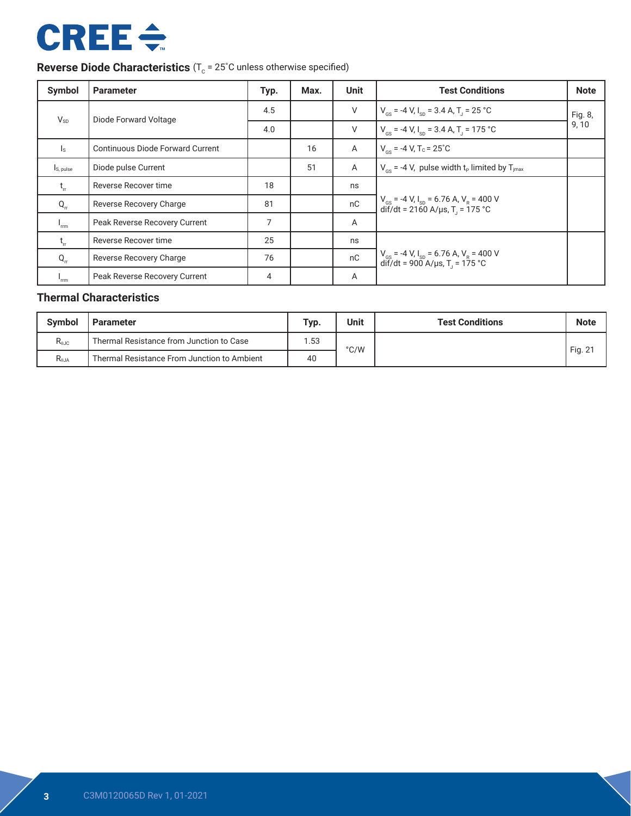# **CREE ÷**

# **Reverse Diode Characteristics** (T<sub>c</sub> = 25°C unless otherwise specified)

| Symbol                    | <b>Parameter</b>                        | Typ. | Max. | <b>Unit</b>    | <b>Test Conditions</b>                                                                                                         | <b>Note</b>      |
|---------------------------|-----------------------------------------|------|------|----------------|--------------------------------------------------------------------------------------------------------------------------------|------------------|
| $V_{SD}$                  | Diode Forward Voltage                   | 4.5  |      | V              | $V_{\text{cs}}$ = -4 V, I <sub>sp</sub> = 3.4 A, T <sub>1</sub> = 25 °C                                                        | Fig. 8,<br>9, 10 |
|                           |                                         | 4.0  |      | $\vee$         | $V_{\text{gs}}$ = -4 V, $I_{\text{sp}}$ = 3.4 A, T <sub>J</sub> = 175 °C                                                       |                  |
| $\mathsf{I}_\mathsf{S}$   | <b>Continuous Diode Forward Current</b> |      | 16   | Α              | $V_{cs}$ = -4 V, T <sub>c</sub> = 25 <sup>°</sup> C                                                                            |                  |
| $I_{S, pulse}$            | Diode pulse Current                     |      | 51   | $\overline{A}$ | $V_{cs}$ = -4 V, pulse width t <sub>p</sub> limited by T <sub>imax</sub>                                                       |                  |
| $t_{\rm r}$               | Reverse Recover time                    | 18   |      | ns             |                                                                                                                                |                  |
| $Q_{rr}$                  | Reverse Recovery Charge                 | 81   |      | nC             | $V_{gs}$ = -4 V, I <sub>sp</sub> = 6.76 A, V <sub>R</sub> = 400 V<br>dif/dt = 2160 A/µs, T <sub>J</sub> = 175 °C               |                  |
| $I_{\text{rrm}}$          | Peak Reverse Recovery Current           | 7    |      | A              |                                                                                                                                |                  |
| $t_{\rm r}$               | Reverse Recover time                    | 25   |      | ns             |                                                                                                                                |                  |
| $Q_{rr}$                  | Reverse Recovery Charge                 | 76   |      | nC             | $V_{\text{gs}}$ = -4 V, $I_{\text{sp}}$ = 6.76 A, V <sub>R</sub> = 400 V<br>$di\vec{r}/dt = 900$ A/µs, T <sub>1</sub> = 175 °C |                  |
| $\mathbf{I}_{\text{rrm}}$ | Peak Reverse Recovery Current           | 4    |      | A              |                                                                                                                                |                  |

### **Thermal Characteristics**

| <b>Symbol</b><br><b>Parameter</b> |                                             | Typ. | <b>Unit</b> | <b>Test Conditions</b> | <b>Note</b> |
|-----------------------------------|---------------------------------------------|------|-------------|------------------------|-------------|
| $R_{\theta$ JC                    | Thermal Resistance from Junction to Case    | .53  | °C/W        |                        | Fig. $2^r$  |
| R <sub>0.JA</sub>                 | Thermal Resistance From Junction to Ambient | 40   |             |                        |             |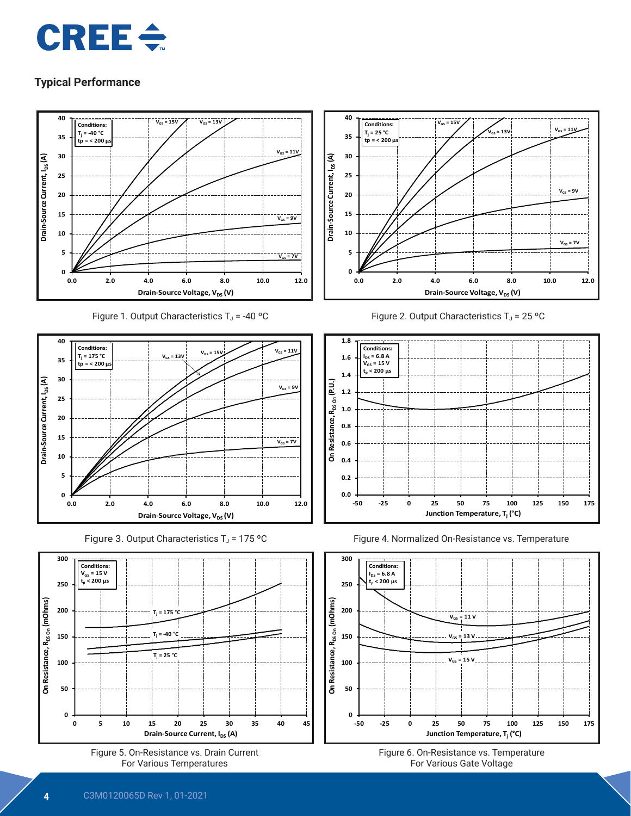



 $V_{GS}$  = 7V

 $V_{GS} = 9V$ 





Figure 5. On-Resistance vs. Drain Current For Various Temperatures

**0 5 10 15 20 25 30 35 40 45**

**Drain-Source Current, I<sub>DS</sub> (A)** 

**0**

**50**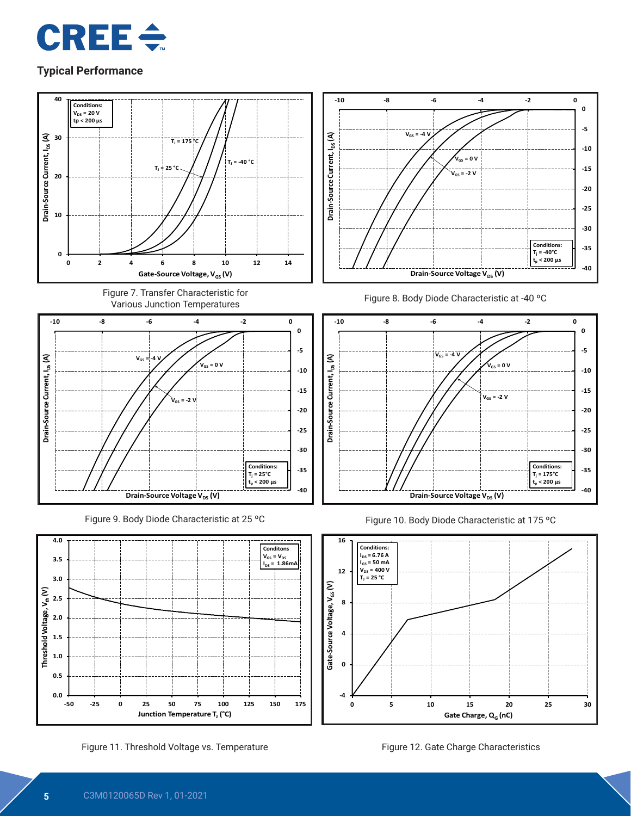



Figure 11. Threshold Voltage vs. Temperature Figure 12. Gate Charge Characteristics

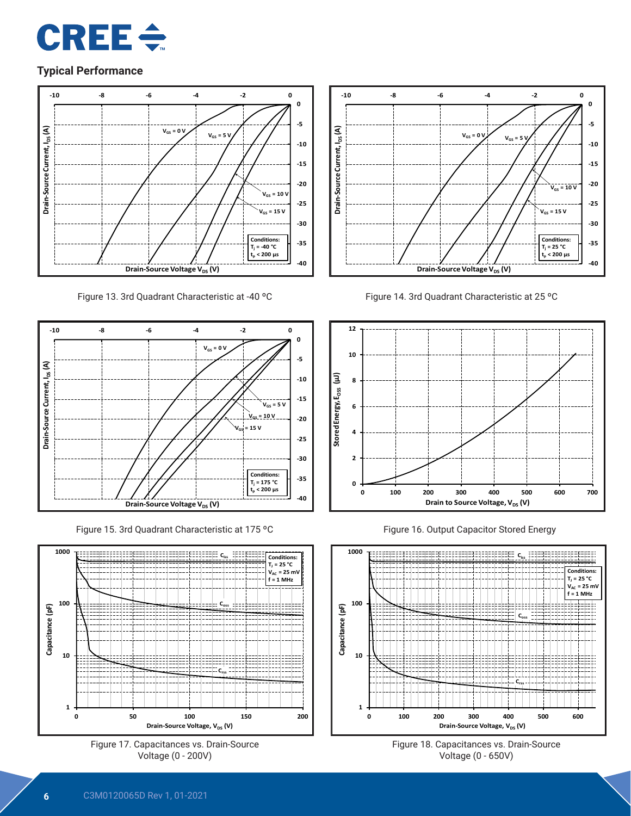



Figure 13. 3rd Quadrant Characteristic at -40 ºC



Figure 15. 3rd Quadrant Characteristic at 175 ºC







Figure 14. 3rd Quadrant Characteristic at 25 ºC



Figure 16. Output Capacitor Stored Energy



Figure 18. Capacitances vs. Drain-Source Voltage (0 - 650V)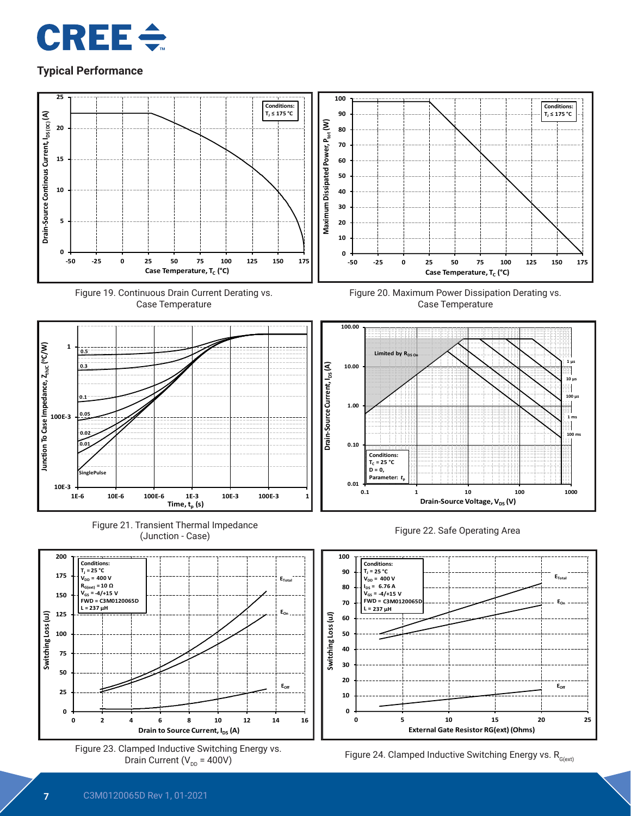







**1E-6 10E-6 100E-6 1E-3 10E-3 100E-3 1**







**0.1 1 10 100 1000**

**Drain-Source Voltage, V<sub>DS</sub> (V)** 

**0.01**

**0.10**

**Conditions:**  $T_c = 25 °C$ **D = 0, Parameter:** *t***<sup>p</sup>** **Conditions: TJ ≤ 175 °C**

> **100 µs 1 m**

**100 ms**

**10 µs**

**1 µs**

Ī H





**10E-3**

**100E-3**

**0.05 0.02 0.01**

**SinglePulse**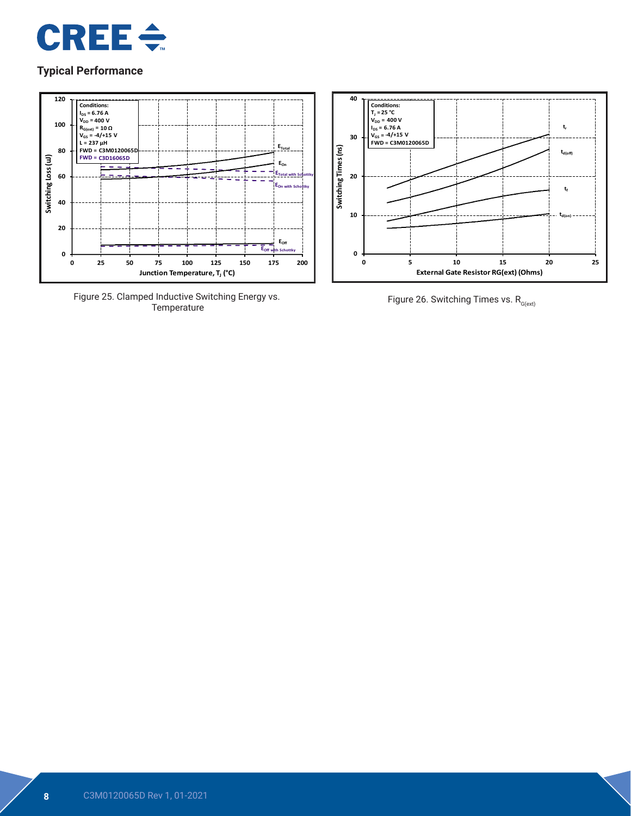



Figure 25. Clamped Inductive Switching Energy vs.



Figure 26. Switching Times vs.  $R_{G(\text{ext})}$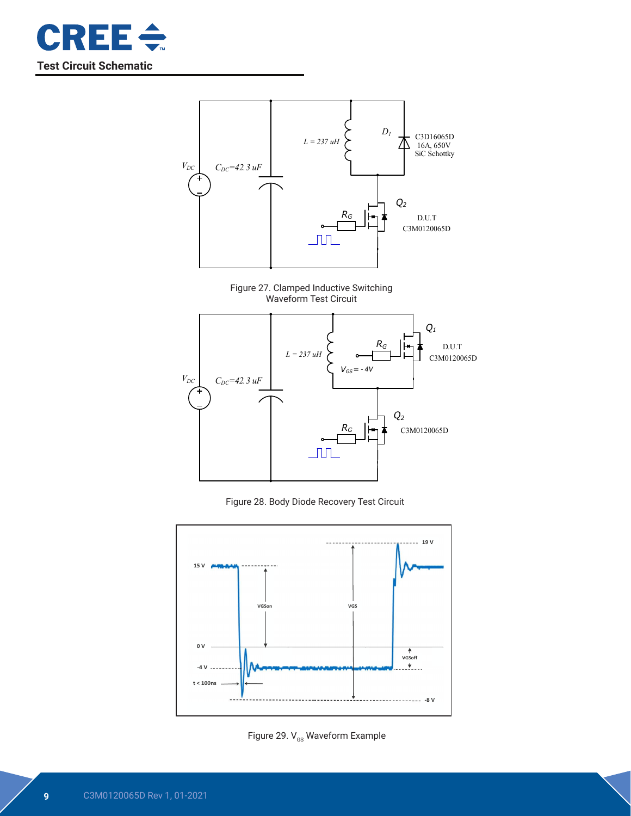



Figure 27. Clamped Inductive Switching Waveform Test Circuit



Figure 28. Body Diode Recovery Test Circuit



Figure 29.  $V_{\text{GS}}$  Waveform Example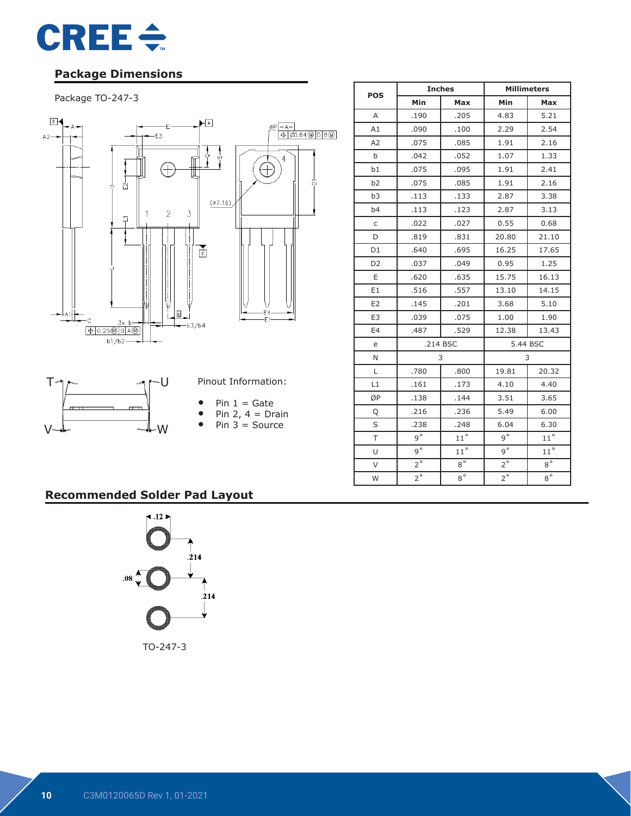

## **Package Dimensions**

#### Package TO-247-3



|                |             | <b>Inches</b> | <b>Millimeters</b> |              |  |
|----------------|-------------|---------------|--------------------|--------------|--|
| <b>POS</b>     | Min         | Max           | Min                | Max          |  |
| A              | .190        | .205          | 4.83               | 5.21         |  |
| A1             | .090        | .100          | 2.29               | 2.54         |  |
| A2             | .075        | .085          | 1.91               | 2.16         |  |
| b              | .042        | .052          | 1.07               | 1.33         |  |
| b1             | .075        | .095          | 1.91               | 2.41         |  |
| b2             | .075        | .085          | 1.91               | 2.16         |  |
| b <sub>3</sub> | .113        | .133          | 2.87               | 3.38         |  |
| b4             | .113        | .123          | 2.87               | 3.13         |  |
| $\mathsf C$    | .022        | .027          | 0.55               | 0.68         |  |
| D              | .819        | .831          | 20.80              | 21.10        |  |
| D <sub>1</sub> | .640        | .695          | 16.25              | 17.65        |  |
| D <sub>2</sub> | .037        | .049          | 0.95               | 1.25         |  |
| E              | .620        | .635          | 15.75              | 16.13        |  |
| E1             | .516        | .557          | 13.10              | 14.15        |  |
| E <sub>2</sub> | .145        | .201          | 3.68               | 5.10         |  |
| E <sub>3</sub> | .039        | .075          | 1.00               | 1.90         |  |
| E4             | .487        | .529          | 12.38              | 13.43        |  |
| e              |             | .214 BSC      | 5.44 BSC           |              |  |
| N              |             | 3             |                    | 3            |  |
| L              | .780        | .800          | 19.81              | 20.32        |  |
| L1             | .161        | .173          | 4.10               | 4.40         |  |
| ØP             | .138        | .144          | 3.51               | 3.65         |  |
| Q              | .216        | .236          | 5.49               | 6.00         |  |
| S              | .238        | .248          | 6.04               | 6.30         |  |
| T              | $q^{\circ}$ | $11^{\circ}$  | $q^{\circ}$        | $11^{\circ}$ |  |
| U              | $9^{\circ}$ | $11^{\circ}$  | $9^{\circ}$        | $11^{\circ}$ |  |
| $\vee$         | $2^{\circ}$ | $8^{\circ}$   | $2^{\circ}$        | $8^{\circ}$  |  |
| W              | $2^{\circ}$ | $8^{\circ}$   | $2^{\circ}$        | $8^{\circ}$  |  |

## **Recommended Solder Pad Layout**